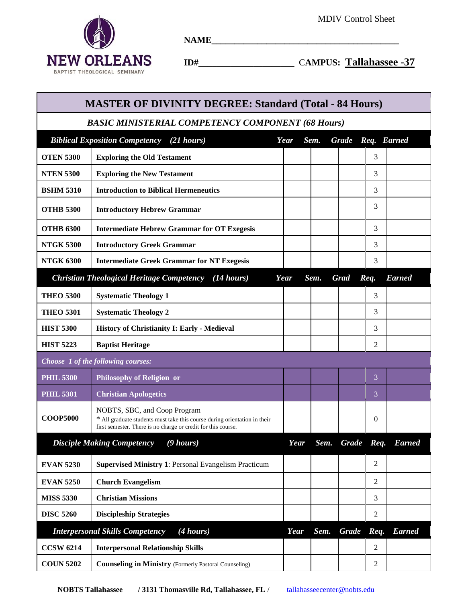٦



**NAME\_\_\_\_\_\_\_\_\_\_\_\_\_\_\_\_\_\_\_\_\_\_\_\_\_\_\_\_\_\_\_\_\_\_\_\_\_\_\_\_\_**

 **ID#\_\_\_\_\_\_\_\_\_\_\_\_\_\_\_\_\_\_\_\_\_** C**AMPUS: Tallahassee -37**

| <b>MASTER OF DIVINITY DEGREE: Standard (Total - 84 Hours)</b> |                                                                                                                                                                            |      |      |  |                   |                |               |  |  |  |  |  |
|---------------------------------------------------------------|----------------------------------------------------------------------------------------------------------------------------------------------------------------------------|------|------|--|-------------------|----------------|---------------|--|--|--|--|--|
| <b>BASIC MINISTERIAL COMPETENCY COMPONENT (68 Hours)</b>      |                                                                                                                                                                            |      |      |  |                   |                |               |  |  |  |  |  |
| <b>Biblical Exposition Competency</b> (21 hours)<br>Year      |                                                                                                                                                                            |      | Sem. |  | Grade Req. Earned |                |               |  |  |  |  |  |
| <b>OTEN 5300</b>                                              | <b>Exploring the Old Testament</b>                                                                                                                                         |      |      |  |                   | 3              |               |  |  |  |  |  |
| <b>NTEN 5300</b>                                              | <b>Exploring the New Testament</b>                                                                                                                                         |      |      |  |                   | 3              |               |  |  |  |  |  |
| <b>BSHM 5310</b>                                              | <b>Introduction to Biblical Hermeneutics</b>                                                                                                                               |      |      |  |                   | 3              |               |  |  |  |  |  |
| <b>OTHB 5300</b>                                              | <b>Introductory Hebrew Grammar</b>                                                                                                                                         |      |      |  |                   | 3              |               |  |  |  |  |  |
| <b>OTHB 6300</b>                                              | <b>Intermediate Hebrew Grammar for OT Exegesis</b>                                                                                                                         |      |      |  |                   | 3              |               |  |  |  |  |  |
| <b>NTGK 5300</b>                                              | <b>Introductory Greek Grammar</b>                                                                                                                                          |      |      |  |                   | 3              |               |  |  |  |  |  |
| <b>NTGK 6300</b>                                              | <b>Intermediate Greek Grammar for NT Exegesis</b>                                                                                                                          |      |      |  |                   | 3              |               |  |  |  |  |  |
|                                                               | <b>Christian Theological Heritage Competency</b><br>(14 hours)                                                                                                             | Year | Sem. |  | <b>Grad</b>       | Req.           | <b>Earned</b> |  |  |  |  |  |
| <b>THEO 5300</b>                                              | <b>Systematic Theology 1</b>                                                                                                                                               |      |      |  |                   | 3              |               |  |  |  |  |  |
| <b>THEO 5301</b>                                              | <b>Systematic Theology 2</b>                                                                                                                                               |      |      |  |                   | 3              |               |  |  |  |  |  |
| <b>HIST 5300</b>                                              | History of Christianity I: Early - Medieval                                                                                                                                |      |      |  |                   | 3              |               |  |  |  |  |  |
| <b>HIST 5223</b>                                              | <b>Baptist Heritage</b>                                                                                                                                                    |      |      |  |                   | 2              |               |  |  |  |  |  |
| Choose 1 of the following courses:                            |                                                                                                                                                                            |      |      |  |                   |                |               |  |  |  |  |  |
| <b>PHIL 5300</b>                                              | <b>Philosophy of Religion or</b>                                                                                                                                           |      |      |  |                   | 3              |               |  |  |  |  |  |
| <b>PHIL 5301</b>                                              | <b>Christian Apologetics</b>                                                                                                                                               |      |      |  |                   | 3              |               |  |  |  |  |  |
| <b>COOP5000</b>                                               | NOBTS, SBC, and Coop Program<br>* All graduate students must take this course during orientation in their<br>first semester. There is no charge or credit for this course. |      |      |  |                   | 0              |               |  |  |  |  |  |
|                                                               | <b>Disciple Making Competency</b><br>$(9 \text{ hours})$                                                                                                                   | Year | Sem. |  | Grade Req.        |                | <b>Earned</b> |  |  |  |  |  |
| <b>EVAN 5230</b>                                              | <b>Supervised Ministry 1: Personal Evangelism Practicum</b>                                                                                                                |      |      |  |                   | $\overline{2}$ |               |  |  |  |  |  |
| <b>EVAN 5250</b>                                              | <b>Church Evangelism</b>                                                                                                                                                   |      |      |  |                   | 2              |               |  |  |  |  |  |
| <b>MISS 5330</b>                                              | <b>Christian Missions</b>                                                                                                                                                  |      |      |  |                   | 3              |               |  |  |  |  |  |
| <b>DISC 5260</b>                                              | <b>Discipleship Strategies</b>                                                                                                                                             |      |      |  |                   | 2              |               |  |  |  |  |  |
| <b>Interpersonal Skills Competency</b><br>(4 hours)           |                                                                                                                                                                            | Year | Sem. |  | <b>Grade</b>      | Req.           | <b>Earned</b> |  |  |  |  |  |
| <b>CCSW 6214</b>                                              | <b>Interpersonal Relationship Skills</b>                                                                                                                                   |      |      |  |                   | 2              |               |  |  |  |  |  |
| <b>COUN 5202</b>                                              | <b>Counseling in Ministry (Formerly Pastoral Counseling)</b>                                                                                                               |      |      |  |                   | 2              |               |  |  |  |  |  |

**NOBTS Tallahassee // 3131 Thomasville Rd, Tallahassee, FL / tallahasseecenter@nobts.edu**